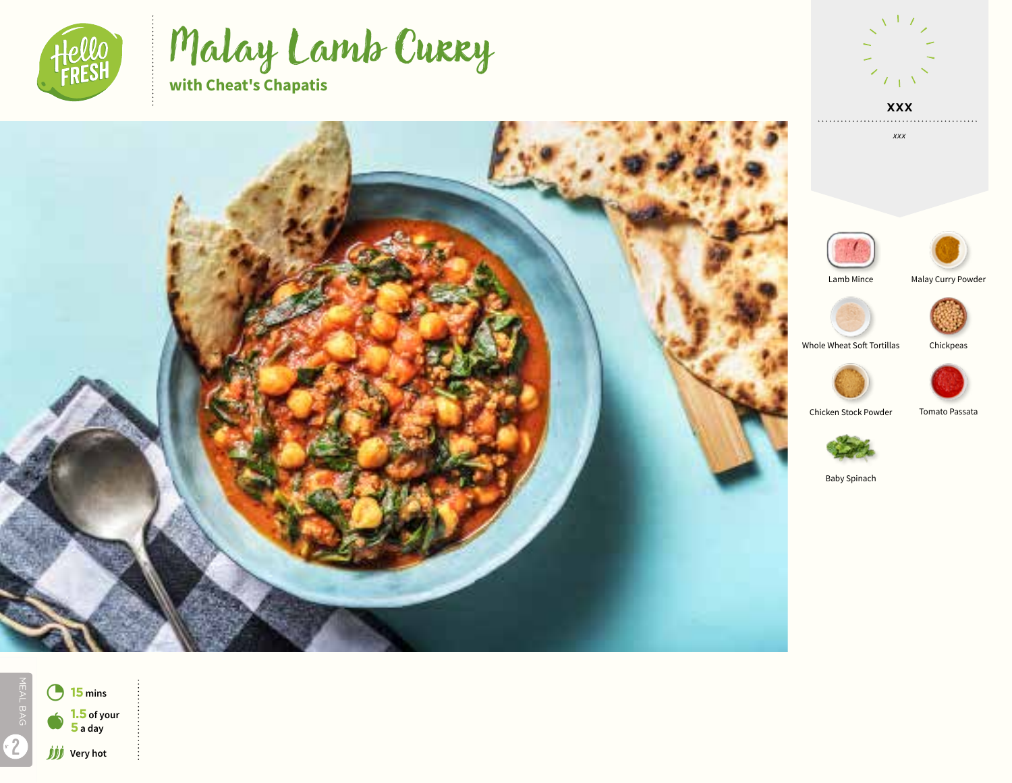

Malay Lamb Curry **with Cheat's Chapatis**



*xxx*





. . . . . . . . . . . . . .





Whole Wheat Soft Tortillas Chickpeas



Chicken Stock Powder Tomato Passata



Baby Spinach









MEAL BAG